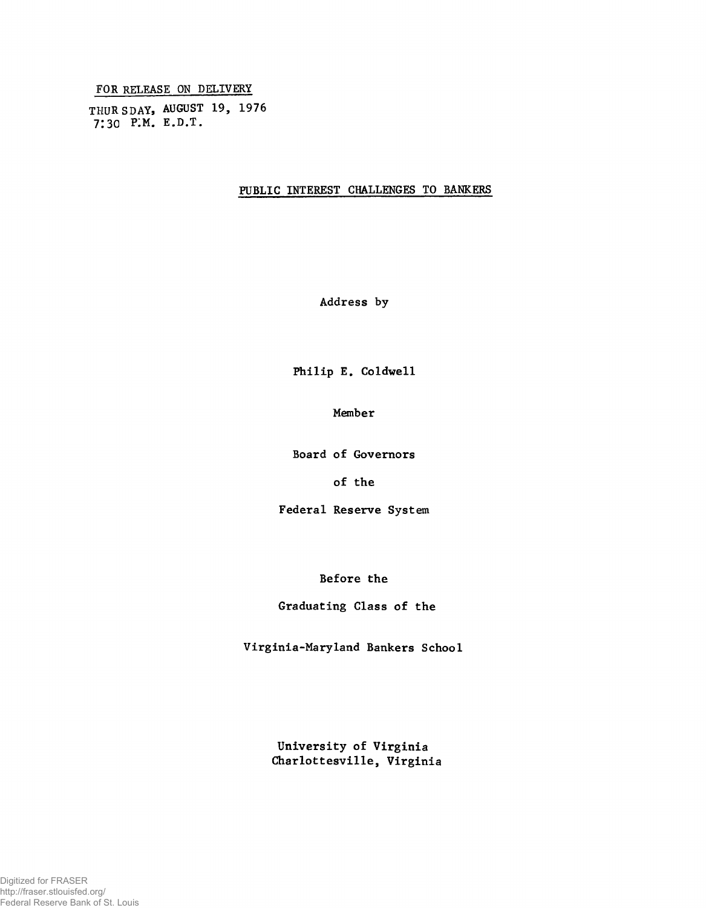**FOR RELEASE ON DELIVERY**

**THURSDAY, AUGUST 19, 1976 7:30 p:m. e.d.t.**

## **PUBLIC INTEREST CHALLENGES TO BANKERS**

**Address by**

**Philip E. Coldwell**

**Member**

**Board of Governors**

**of the**

**Federal Reserve System**

**Before the**

## **Graduating Class of the**

**Virginia-Maryland Bankers School**

**University of Virginia Charlottesville, Virginia**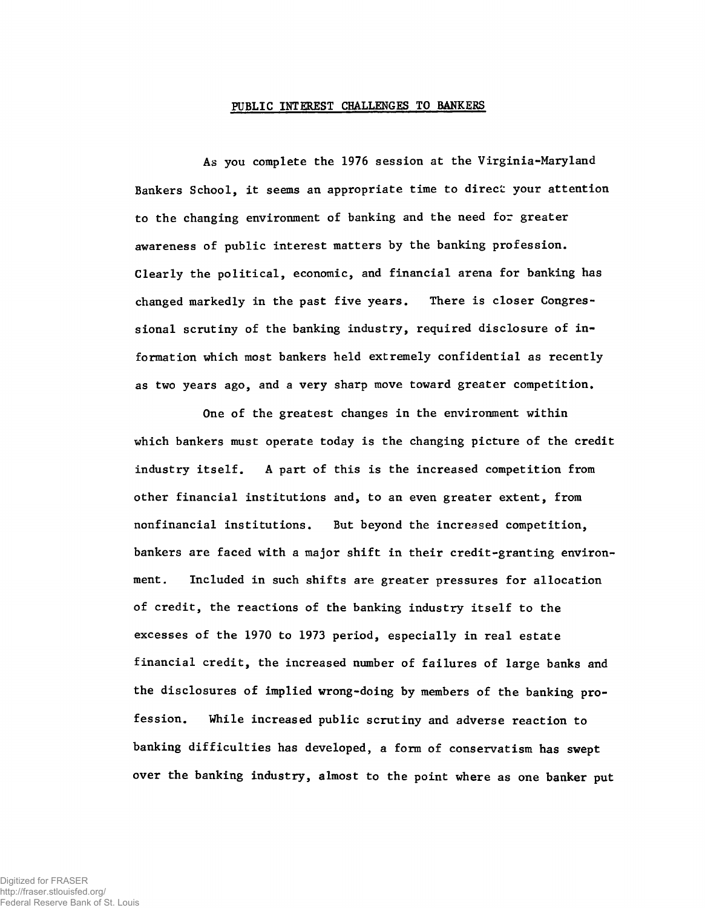## **PUBLIC INTEREST CHALLENGES TO BANKERS**

**As you complete the 1976 session at the Virginia-Maryland Bankers School, it seems an appropriate time to direct your attention to the changing environment of banking and the need for greater awareness of public interest matters by the banking profession. Clearly the political, economic, and financial arena for banking has changed markedly in the past five years. There is closer Congressional scrutiny of the banking industry, required disclosure of information which most bankers held extremely confidential as recently as two years ago, and a very sharp move toward greater competition.**

**One of the greatest changes in the environment within which bankers must operate today is the changing picture of the credit industry itself. A part of this is the increased competition from other financial institutions and, to an even greater extent, from nonfinancial institutions. But beyond the increased competition, bankers are faced with a major shift in their credit-granting environment. Included in such shifts are greater pressures for allocation of credit, the reactions of the banking industry itself to the excesses of the 1970 to 1973 period, especially in real estate financial credit, the increased number of failures of large banks and the disclosures of implied wrong-doing by members of the banking profession. While increased public scrutiny and adverse reaction to banking difficulties has developed, a form of conservatism has swept over the banking industry, almost to the point where as one banker put**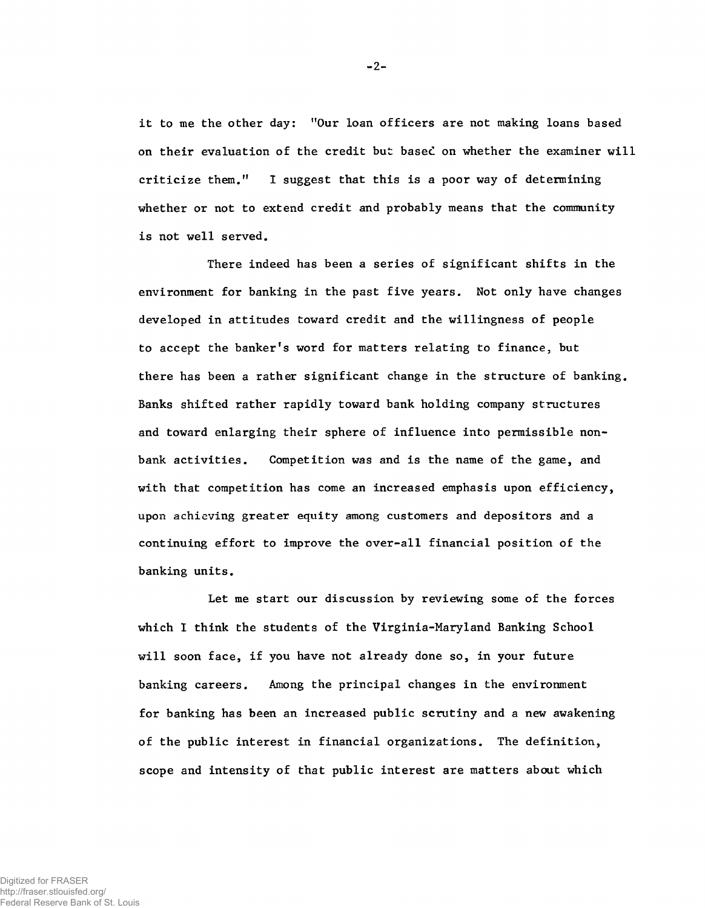**it to me the other day: "Our loan officers are not making loans based on their evaluation of the credit but basec on whether the examiner will criticize them." I suggest that this is a poor way of determining whether or not to extend credit and probably means that the community is not well served.**

**There indeed has been a series of significant shifts in the environment for banking in the past five years. Not only have changes developed in attitudes toward credit and the willingness of people to accept the banker's word for matters relating to finance, but there has been a rather significant change in the structure of banking. Banks shifted rather rapidly toward bank holding company structures and toward enlarging their sphere of influence into permissible nonbank activities. Competition was and is the name of the game, and with that competition has come an increased emphasis upon efficiency, upon achieving greater equity among customers and depositors and a continuing effort to improve the over-all financial position of the banking units.**

**Let me start our discussion by reviewing some of the forces which I think the students of the Virginia-Maryland Banking School will soon face, if you have not already done so, in your future banking careers. Among the principal changes in the environment for banking has been an increased public scrutiny and a new awakening of the public interest in financial organizations. The definition, scope and intensity of that public interest are matters about which**

Digitized for FRASER http://fraser.stlouisfed.org/ Federal Reserve Bank of St. Louis **-** 2**-**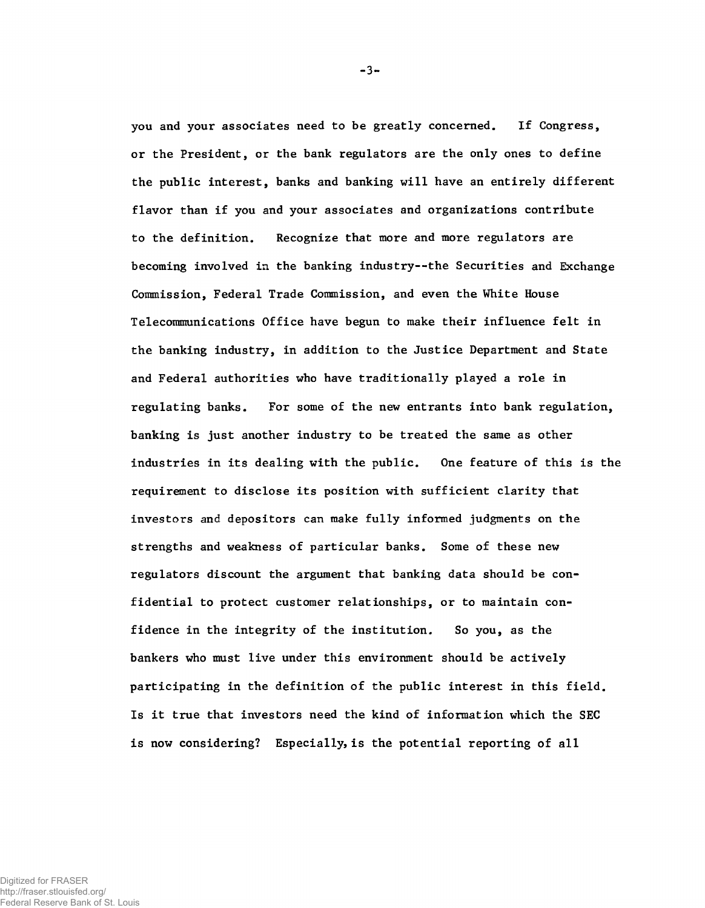**you and your associates need to be greatly concerned. If Congress, or the President, or the bank regulators are the only ones to define the public interest, banks and banking will have an entirely different flavor than if you and your associates and organizations contribute to the definition. Recognize that more and more regulators are becoming involved in the banking industry— the Securities and Exchange Commission, Federal Trade Commission, and even the White House Telecommunications Office have begun to make their influence felt in the banking industry, in addition to the Justice Department and State and Federal authorities who have traditionally played a role in regulating banks. For some of the new entrants into bank regulation, banking is just another industry to be treated the same as other industries in its dealing with the public. One feature of this is the requirement to disclose its position with sufficient clarity that investors and depositors can make fully informed judgments on the strengths and weakness of particular banks. Some of these new regulators discount the argument that banking data should be confidential to protect customer relationships, or to maintain confidence in the integrity of the institution. So you, as the bankers who must live under this environment should be actively participating in the definition of the public interest in this field. Is it true that investors need the kind of information which the SEC is now considering? Especially, is the potential reporting of all**

-3-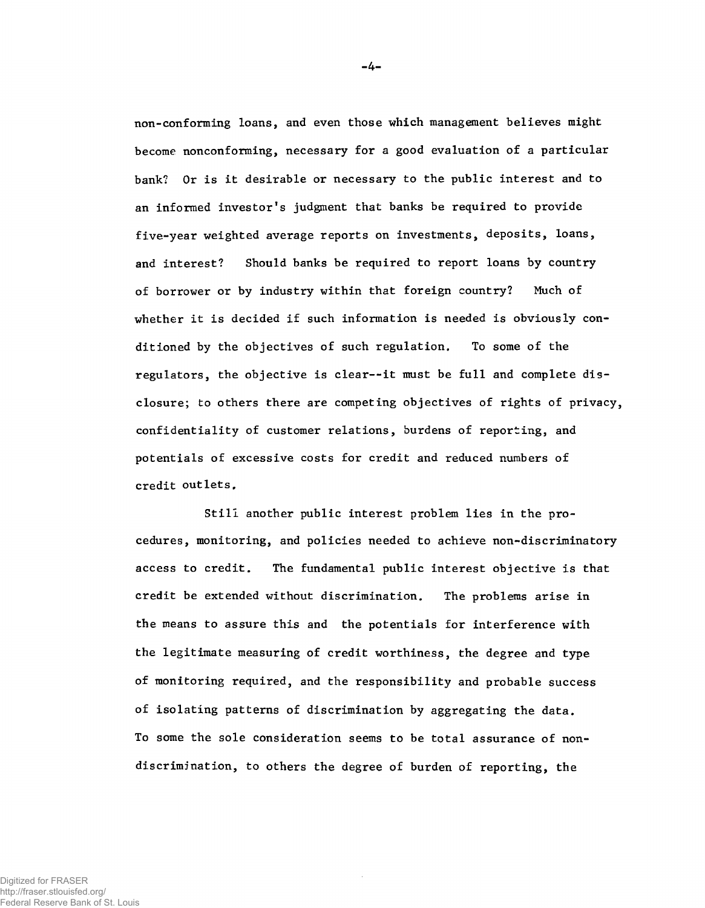**non-conforming loans, and even those which management believes might become nonconforming, necessary for a good evaluation of a particular bank? Or is it desirable or necessary to the public interest and to an informed investor!s judgment that banks be required to provide five-year weighted average reports on investments, deposits, loans, and interest? Should banks be required to report loans by country of borrower or by industry within that foreign country? Much of whether it is decided if such information is needed is obviously conditioned by the objectives of such regulation. To some of the regulators, the objective is clear--it must be full and complete disclosure; to others there are competing objectives of rights of privacy, confidentiality of customer relations, burdens of reporting, and potentials of excessive costs for credit and reduced numbers of credit outlets.**

**Still another public interest problem lies in the procedures, monitoring, and policies needed to achieve non-discriminatory access to credit. The fundamental public interest objective is that credit be extended without discrimination. The problems arise in the means to assure this and the potentials for interference with the legitimate measuring of credit worthiness, the degree and type of monitoring required, and the responsibility and probable success of isolating patterns of discrimination by aggregating the data. To some the sole consideration seems to be total assurance of nondiscrimination, to others the degree of burden of reporting, the**

-4-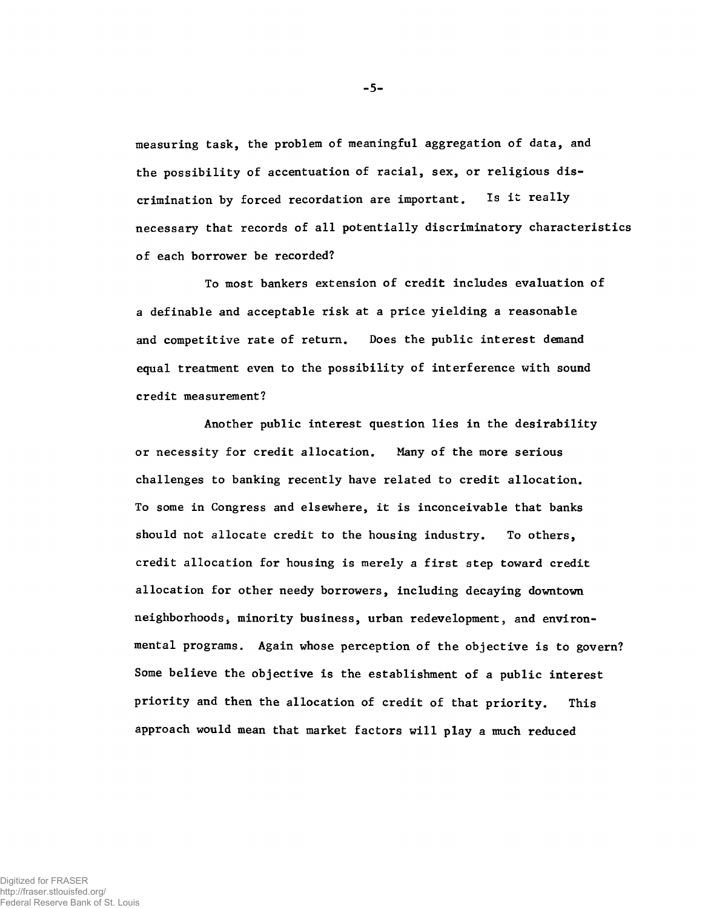**measuring task, the problem of meaningful aggregation of data, and the possibility of accentuation of racial, sex, or religious discrimination by forced recordation are important. Is it really necessary that records of all potentially discriminatory characteristics of each borrower be recorded?**

**To most bankers extension of credit includes evaluation of a definable and acceptable risk at a price yielding a reasonable and competitive rate of return. Does the public interest demand equal treatment even to the possibility of interference with sound credit measurement?**

**Another public interest question lies in the desirability or necessity for credit allocation. Many of the more serious challenges to banking recently have related to credit allocation. To some in Congress and elsewhere, it is inconceivable that banks should not allocate credit to the housing industry. To others, credit allocation for housing is merely a first step toward credit allocation for other needy borrowers, including decaying downtown neighborhoods, minority business, urban redevelopment, and environmental programs. Again whose perception of the objective is to govern? Some believe the objective is the establishment of a public interest priority and then the allocation of credit of that priority. This approach would mean that market factors will play a much reduced**

**5**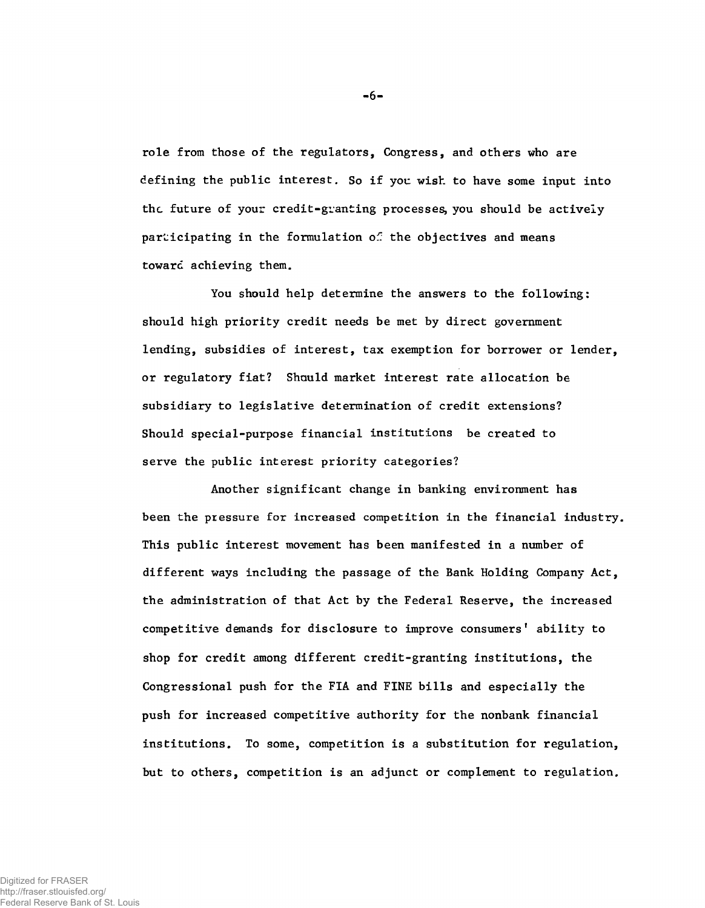**role from those of the regulators, Congress, and others who are defining the public interest. So if you wish to have some input into the future of your credit-granting processes, you should be actively** participating in the formulation of the objectives and means **toward achieving them.**

**You should help determine the answers to the following: should high priority credit needs be met by direct government lending, subsidies of interest, tax exemption for borrower or lender, or regulatory fiat? Should market interest rate allocation be subsidiary to legislative determination of credit extensions? Should special-purpose financial institutions be created to serve the public interest priority categories?**

**Another significant change in banking environment has been the pressure for increased competition in the financial industry. This public interest movement has been manifested in a number of different ways including the passage of the Bank Holding Company Act, the administration of that Act by the Federal Reserve, the increased** competitive demands for disclosure to improve consumers' ability to **shop for credit among different credit-granting institutions, the Congressional push for the FIA and FINE bills and especially the push for increased competitive authority for the nonbank financial institutions. To some, competition is a substitution for regulation, but to others, competition is an adjunct or complement to regulation.**

**-** 6**-**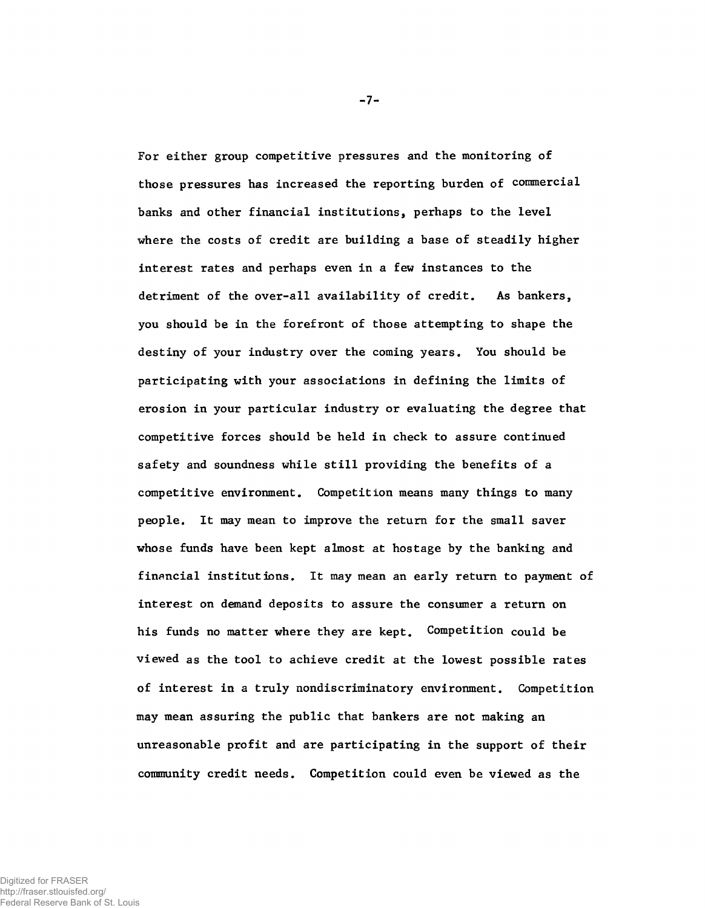**For either group competitive pressures and the monitoring of those pressures has increased the reporting burden of commercial banks and other financial institutions, perhaps to the level where the costs of credit are building a base of steadily higher interest rates and perhaps even in a few instances to the detriment of the over-all availability of credit. As bankers, you should be in the forefront of those attempting to shape the destiny of your industry over the coming years. You should be participating with your associations in defining the limits of erosion in your particular industry or evaluating the degree that competitive forces should be held in check to assure continued safety and soundness while still providing the benefits of a competitive environment. Competition means many things to many people. It may mean to improve the return for the small saver whose funds have been kept almost at hostage by the banking and financial institutions. It may mean an early return to payment of interest on demand deposits to assure the consumer a return on his funds no matter where they are kept. Competition could be viewed as the tool to achieve credit at the lowest possible rates of interest in a truly nondiscriminatory environment. Competition may mean assuring the public that bankers are not making an unreasonable profit and are participating in the support of their community credit needs. Competition could even be viewed as the**

**-** 7**-**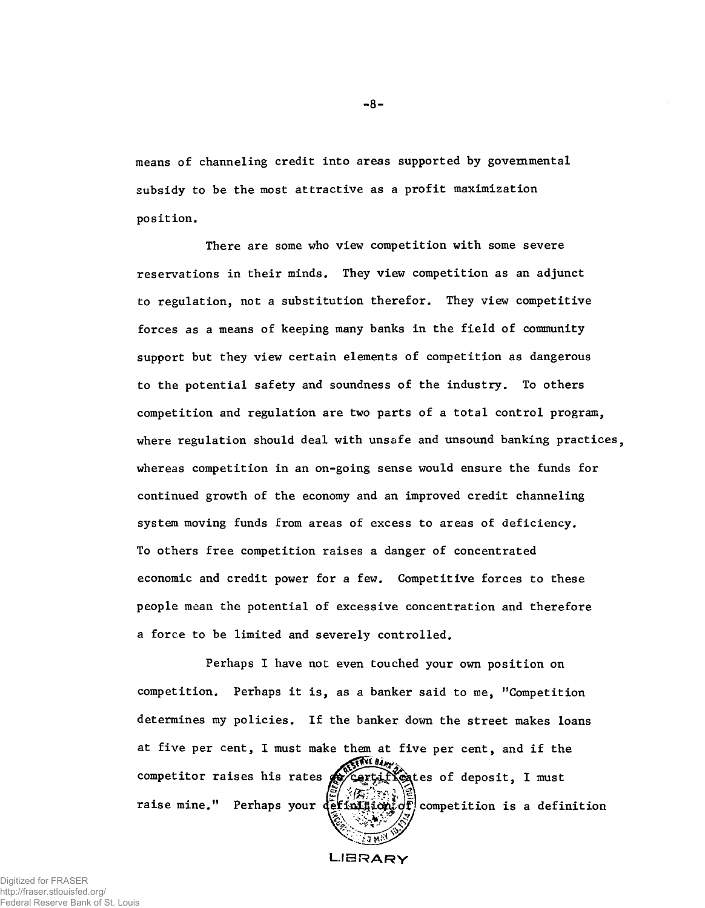**means of channeling credit into areas supported by governmental subsidy to be the most attractive as a profit maximization position.**

**There are some who view competition with some severe reservations in their minds. They view competition as an adjunct to regulation, not a substitution therefor. They view competitive forces as a means of keeping many banks in the field of community support but they view certain elements of competition as dangerous to the potential safety and soundness of the industry. To others competition and regulation are two parts of a total control program, where regulation should deal with unsafe and unsound banking practices, whereas competition in an on-going sense would ensure the funds for continued growth of the economy and an improved credit channeling system moving funds from areas of excess to areas of deficiency. To others free competition raises a danger of concentrated economic and credit power for a few. Competitive forces to these people mean the potential of excessive concentration and therefore a force to be limited and severely controlled.**

**competition. Perhaps it is, as a banker said to me, "Competition determines my policies. If the banker down the street makes loans at five per cent, I must make them at five per cent, and if the Perhaps I have not even touched your own position on** raise mine." Perhaps your  $\det_{\mathbf{H}} \left( \sum_{i=1}^n \mathbf{I}_i \right)$  competition is a definition competitor raises his rates **of** cartifules of deposit, I must

**LIBRARY**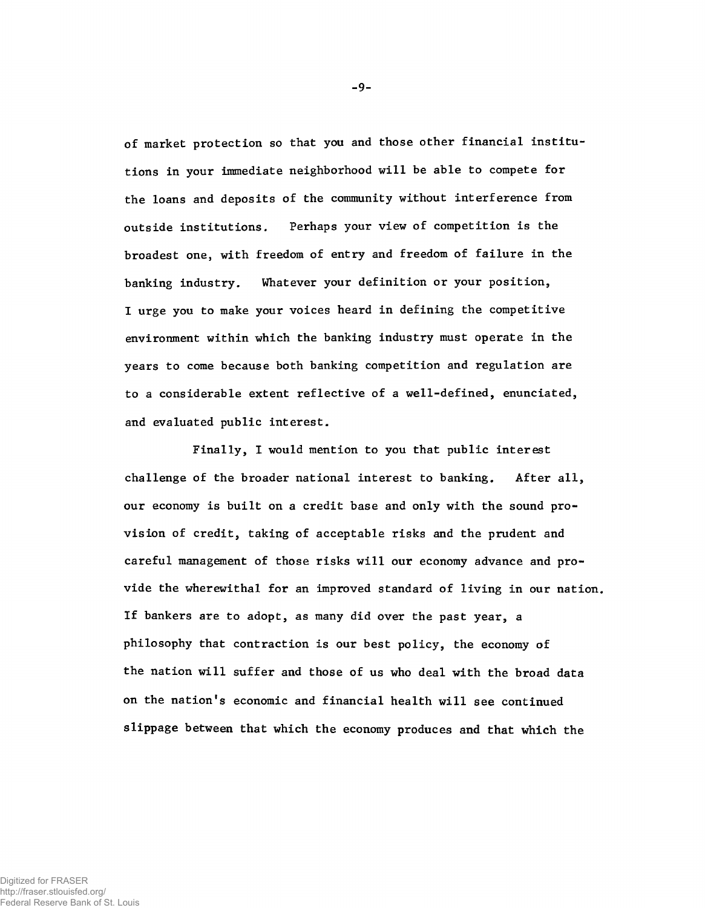**of market protection so that you and those other financial institutions in your immediate neighborhood will be able to compete for the loans and deposits of the community without interference from outside institutions. Perhaps your view of competition is the broadest one, with freedom of entry and freedom of failure in the banking industry. Whatever your definition or your position, I urge you to make your voices heard in defining the competitive environment within which the banking industry must operate in the years to come because both banking competition and regulation are to a considerable extent reflective of a well-defined, enunciated, and evaluated public interest.**

**Finally, I would mention to you that public interest challenge of the broader national interest to banking. After all, our economy is built on a credit base and only with the sound provision of credit, taking of acceptable risks and the prudent and careful management of those risks will our economy advance and provide the wherewithal for an improved standard of living in our nation. If bankers are to adopt, as many did over the past year, a philosophy that contraction is our best policy, the economy of the nation will suffer and those of us who deal with the broad data on the nation's economic and financial health will see continued slippage between that which the economy produces and that which the**

-9-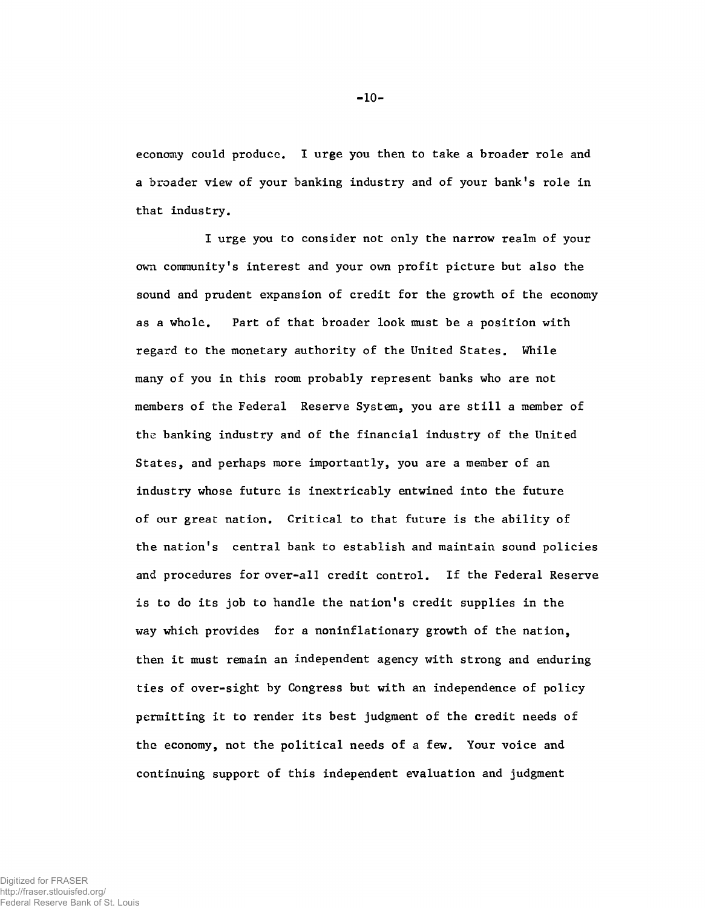**economy could produce. I urge you then to take a broader role and a broader view of your banking industry and of your bank's role in that industry.**

**I urge you to consider not only the narrow realm of your own community's interest and your own profit picture but also the sound and prudent expansion of credit for the growth of the economy as a whole. Part of that broader look must be a position with regard to the monetary authority of the United States. While many of you in this room probably represent banks who are not members of the Federal Reserve System, you are still a member of the banking industry and of the financial industry of the United States, and perhaps more importantly, you are a member of an industry whose future is inextricably entwined into the future of our great nation. Critical to that future is the ability of the nation's central bank to establish and maintain sound policies and procedures for over-all credit control. If the Federal Reserve is to do its job to handle the nation's credit supplies in the way which provides for a noninflationary growth of the nation, then it must remain an independent agency with strong and enduring ties of over-sight by Congress but with an independence of policy permitting it to render its best judgment of the credit needs of the economy, not the political needs of a few. Your voice and continuing support of this independent evaluation and judgment**

**-** 10**-**